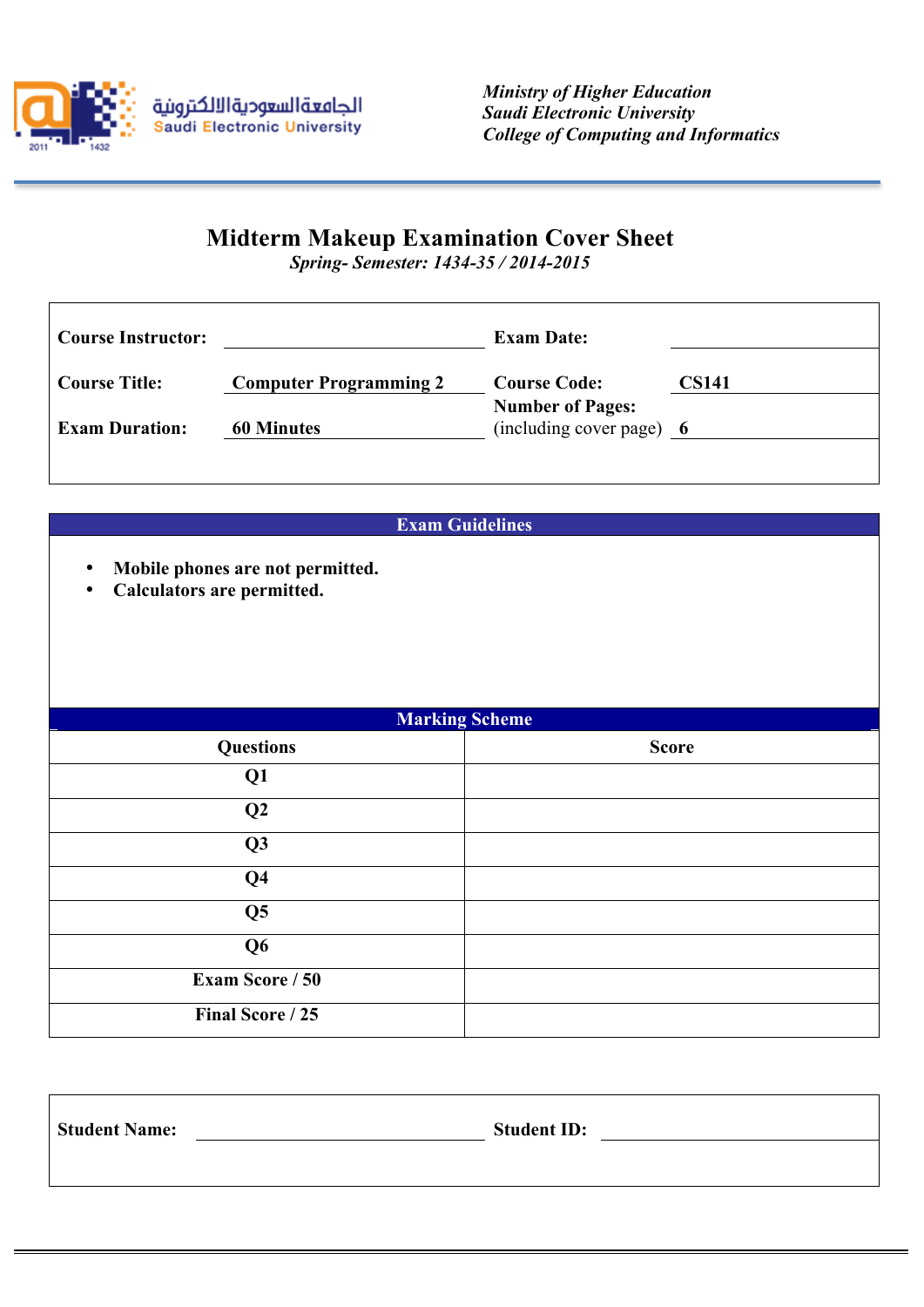

 $\overline{1}$ 

## **Midterm Makeup Examination Cover Sheet**

*Spring- Semester: 1434-35 / 2014-2015*

| <b>Course Instructor:</b> |                               | <b>Exam Date:</b>                                   |              |
|---------------------------|-------------------------------|-----------------------------------------------------|--------------|
| <b>Course Title:</b>      | <b>Computer Programming 2</b> | <b>Course Code:</b>                                 | <b>CS141</b> |
| <b>Exam Duration:</b>     | <b>60 Minutes</b>             | <b>Number of Pages:</b><br>(including cover page) 6 |              |
|                           |                               |                                                     |              |

**Exam Guidelines**

- **Mobile phones are not permitted.**
- **Calculators are permitted.**

| <b>Marking Scheme</b>  |              |  |  |  |
|------------------------|--------------|--|--|--|
| <b>Questions</b>       | <b>Score</b> |  |  |  |
| Q <sub>1</sub>         |              |  |  |  |
| Q2                     |              |  |  |  |
| Q3                     |              |  |  |  |
| Q <sub>4</sub>         |              |  |  |  |
| Q <sub>5</sub>         |              |  |  |  |
| Q <sub>6</sub>         |              |  |  |  |
| <b>Exam Score / 50</b> |              |  |  |  |
| Final Score / 25       |              |  |  |  |

| <b>Student Name:</b> | <b>Student ID:</b> |
|----------------------|--------------------|
|                      |                    |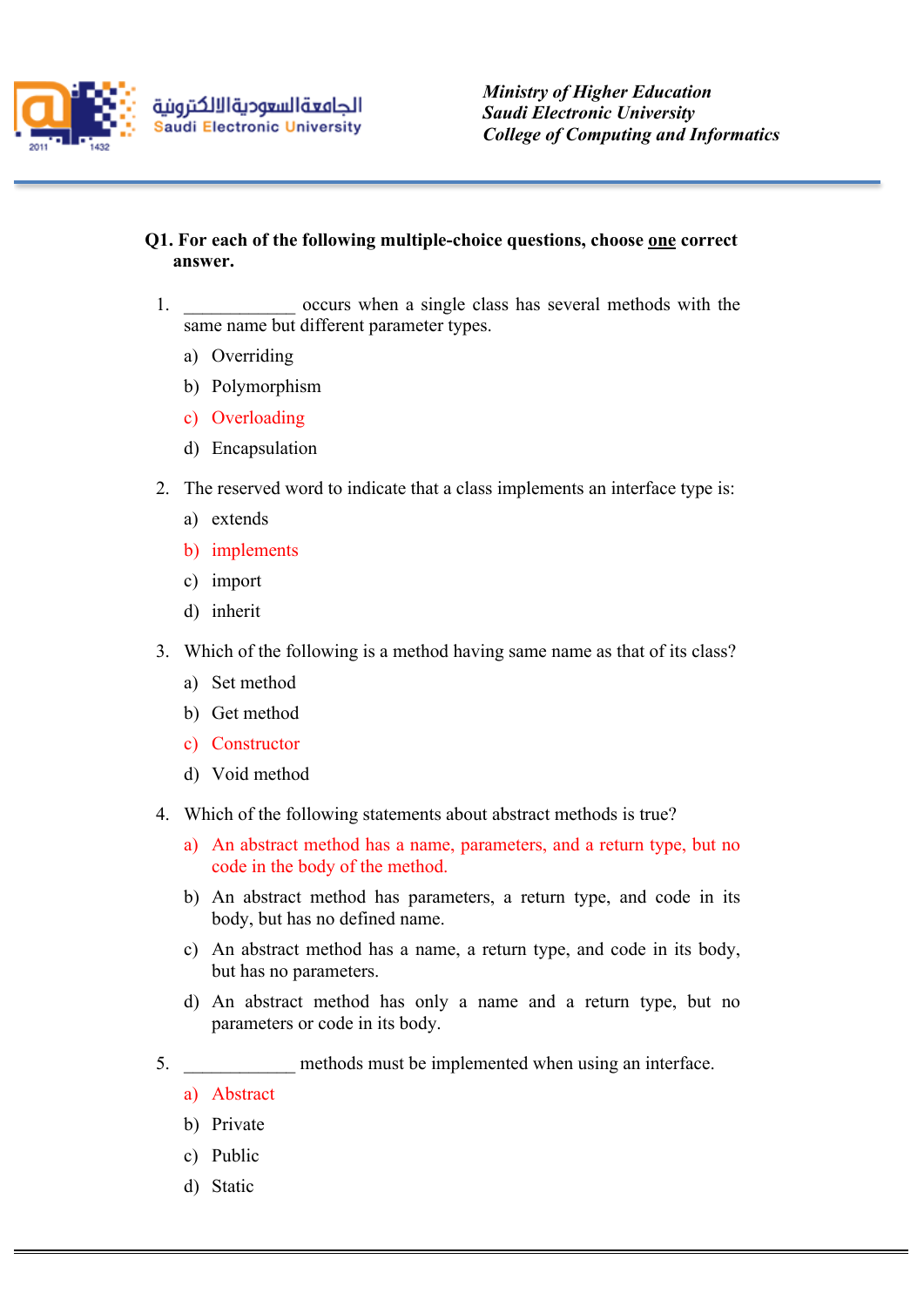

- **Q1. For each of the following multiple-choice questions, choose one correct answer.**
	- 1. The occurs when a single class has several methods with the same name but different parameter types.
		- a) Overriding
		- b) Polymorphism
		- c) Overloading
		- d) Encapsulation
	- 2. The reserved word to indicate that a class implements an interface type is:
		- a) extends
		- b) implements
		- c) import
		- d) inherit
	- 3. Which of the following is a method having same name as that of its class?
		- a) Set method
		- b) Get method
		- c) Constructor
		- d) Void method
	- 4. Which of the following statements about abstract methods is true?
		- a) An abstract method has a name, parameters, and a return type, but no code in the body of the method.
		- b) An abstract method has parameters, a return type, and code in its body, but has no defined name.
		- c) An abstract method has a name, a return type, and code in its body, but has no parameters.
		- d) An abstract method has only a name and a return type, but no parameters or code in its body.
	- 5. The methods must be implemented when using an interface.
		- a) Abstract
		- b) Private
		- c) Public
		- d) Static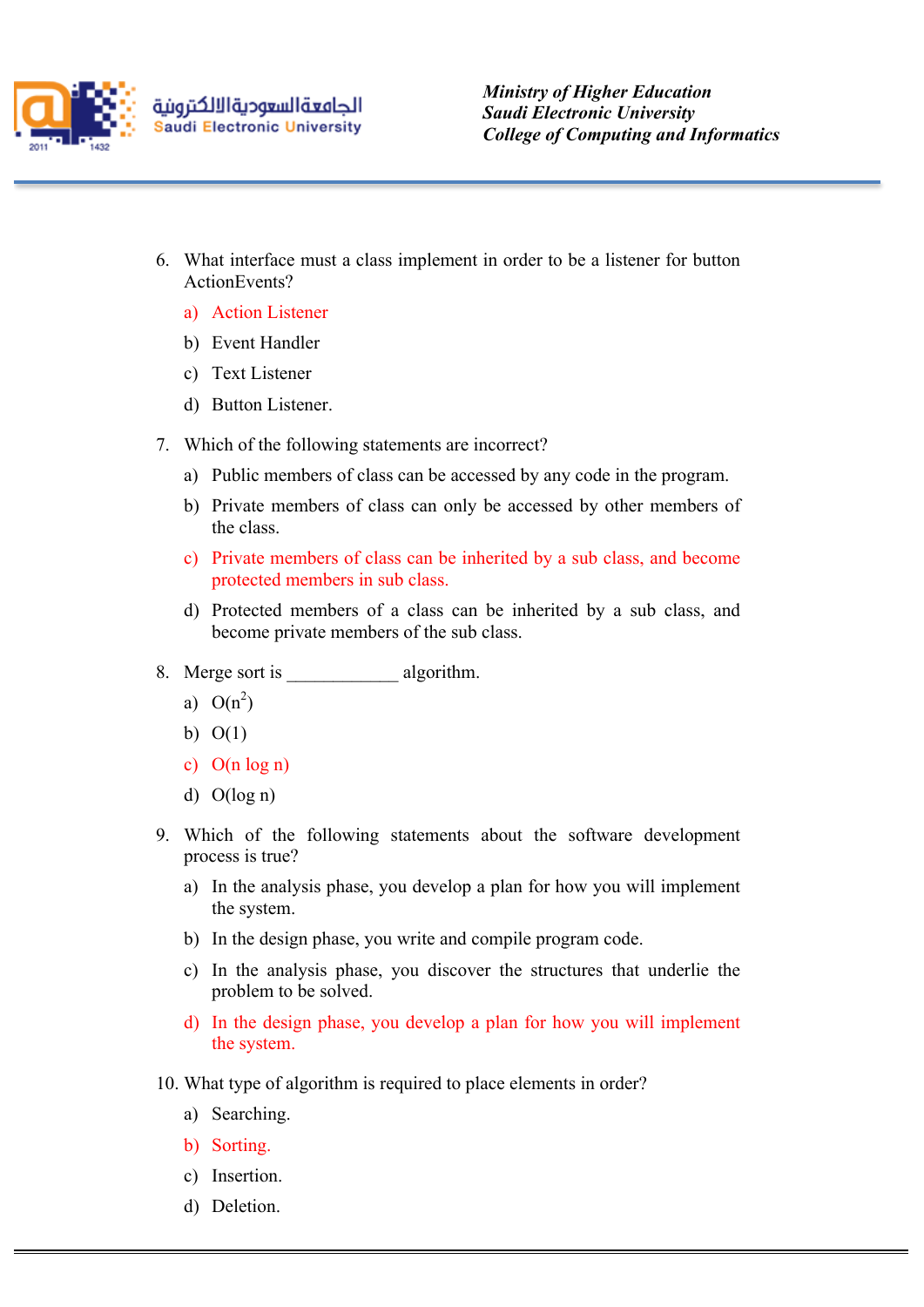

- 6. What interface must a class implement in order to be a listener for button ActionEvents?
	- a) Action Listener
	- b) Event Handler
	- c) Text Listener
	- d) Button Listener.
- 7. Which of the following statements are incorrect?
	- a) Public members of class can be accessed by any code in the program.
	- b) Private members of class can only be accessed by other members of the class.
	- c) Private members of class can be inherited by a sub class, and become protected members in sub class.
	- d) Protected members of a class can be inherited by a sub class, and become private members of the sub class.
- 8. Merge sort is algorithm.
	- a)  $O(n^2)$
	- b)  $O(1)$
	- c) O(n log n)
	- d) O(log n)
- 9. Which of the following statements about the software development process is true?
	- a) In the analysis phase, you develop a plan for how you will implement the system.
	- b) In the design phase, you write and compile program code.
	- c) In the analysis phase, you discover the structures that underlie the problem to be solved.
	- d) In the design phase, you develop a plan for how you will implement the system.
- 10. What type of algorithm is required to place elements in order?
	- a) Searching.
	- b) Sorting.
	- c) Insertion.
	- d) Deletion.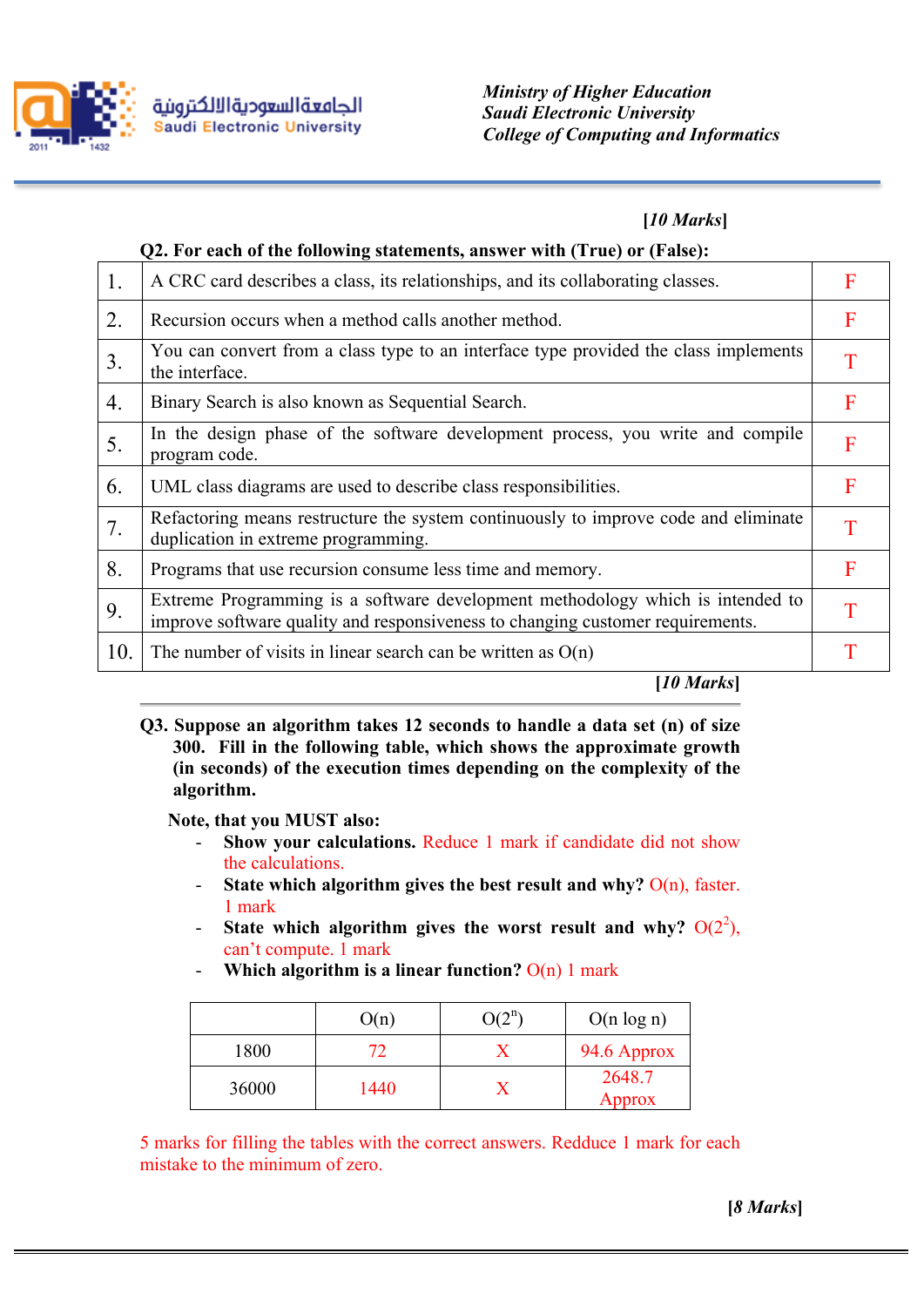

## **[***10 Marks***]**

|                | Q2. For each of the following statements, answer with (True) or (False):                                                                                         |  |  |  |  |
|----------------|------------------------------------------------------------------------------------------------------------------------------------------------------------------|--|--|--|--|
| 1.             | A CRC card describes a class, its relationships, and its collaborating classes.                                                                                  |  |  |  |  |
| 2.             | Recursion occurs when a method calls another method.                                                                                                             |  |  |  |  |
| 3 <sub>1</sub> | You can convert from a class type to an interface type provided the class implements<br>the interface.                                                           |  |  |  |  |
| 4.             | Binary Search is also known as Sequential Search.                                                                                                                |  |  |  |  |
| 5.             | In the design phase of the software development process, you write and compile<br>program code.                                                                  |  |  |  |  |
| 6.             | UML class diagrams are used to describe class responsibilities.                                                                                                  |  |  |  |  |
| 7.             | Refactoring means restructure the system continuously to improve code and eliminate<br>duplication in extreme programming.                                       |  |  |  |  |
| 8.             | Programs that use recursion consume less time and memory.                                                                                                        |  |  |  |  |
| 9.             | Extreme Programming is a software development methodology which is intended to<br>improve software quality and responsiveness to changing customer requirements. |  |  |  |  |
| 10.            | The number of visits in linear search can be written as $O(n)$                                                                                                   |  |  |  |  |
|                | [10 Marks]                                                                                                                                                       |  |  |  |  |

**Q3. Suppose an algorithm takes 12 seconds to handle a data set (n) of size 300. Fill in the following table, which shows the approximate growth (in seconds) of the execution times depending on the complexity of the algorithm.** 

**Note, that you MUST also:**

- **Show your calculations.** Reduce 1 mark if candidate did not show the calculations.
- **State which algorithm gives the best result and why?**  $O(n)$ , faster. 1 mark
- State which algorithm gives the worst result and why?  $O(2^2)$ , can't compute. 1 mark
- Which algorithm is a linear function?  $O(n)$  1 mark

|       | O(n) | $O(2^n)$ | $O(n \log n)$    |
|-------|------|----------|------------------|
| 1800  |      |          | 94.6 Approx      |
| 36000 | 1440 |          | 2648.7<br>Approx |

5 marks for filling the tables with the correct answers. Redduce 1 mark for each mistake to the minimum of zero.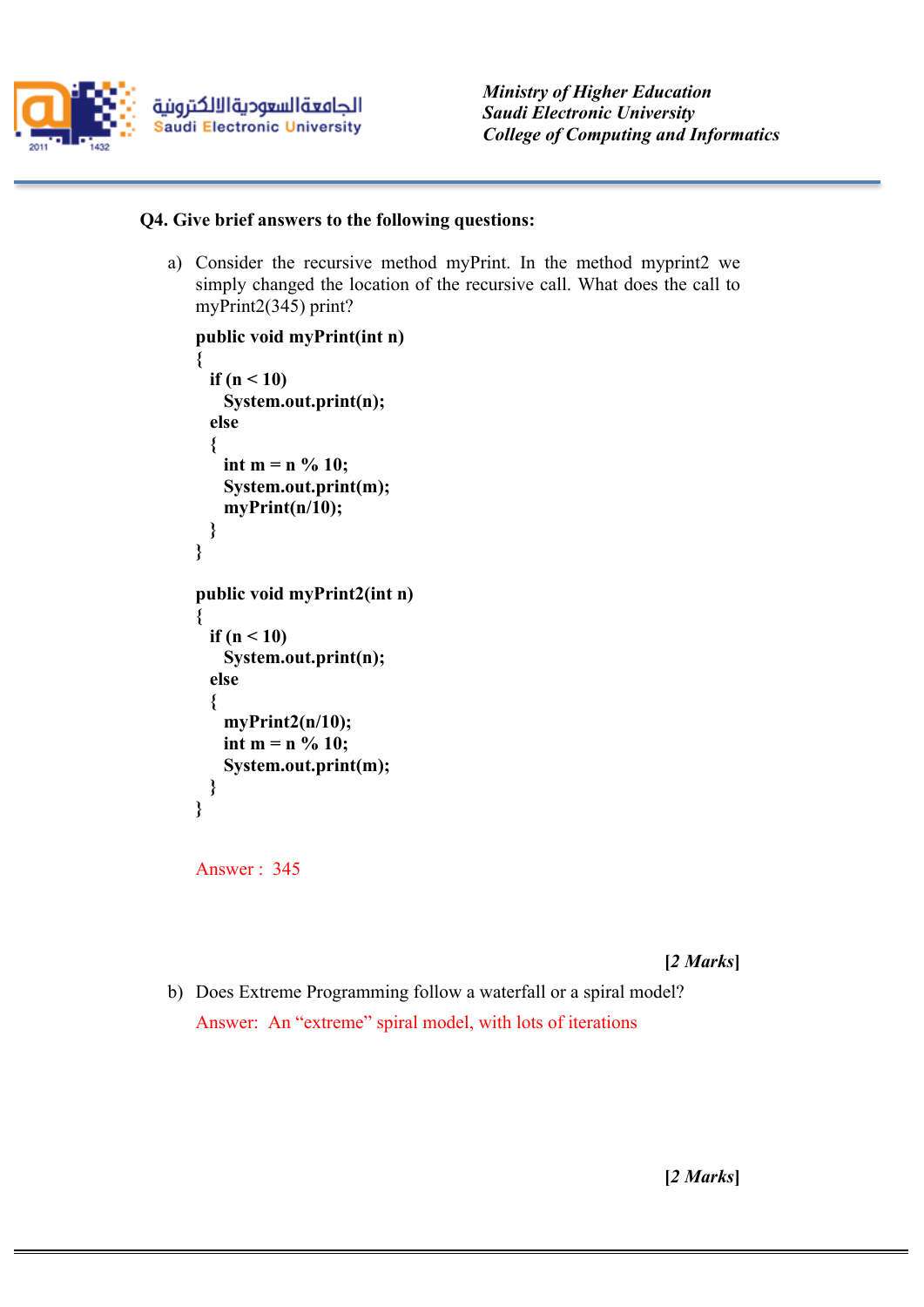

## **Q4. Give brief answers to the following questions:**

a) Consider the recursive method myPrint. In the method myprint2 we simply changed the location of the recursive call. What does the call to myPrint2(345) print?

```
public void myPrint(int n) 
{
   if (n < 10)
    System.out.print(n);
   else 
   {
    int m = n \% 10; System.out.print(m);
     myPrint(n/10);
  }
}
public void myPrint2(int n) 
{
   if (n < 10)
    System.out.print(n);
   else 
   {
     myPrint2(n/10);
   int m = n \frac{9}{6} 10; System.out.print(m);
  }
}
```

```
Answer : 345
```
**[***2 Marks***]**

b) Does Extreme Programming follow a waterfall or a spiral model? Answer: An "extreme" spiral model, with lots of iterations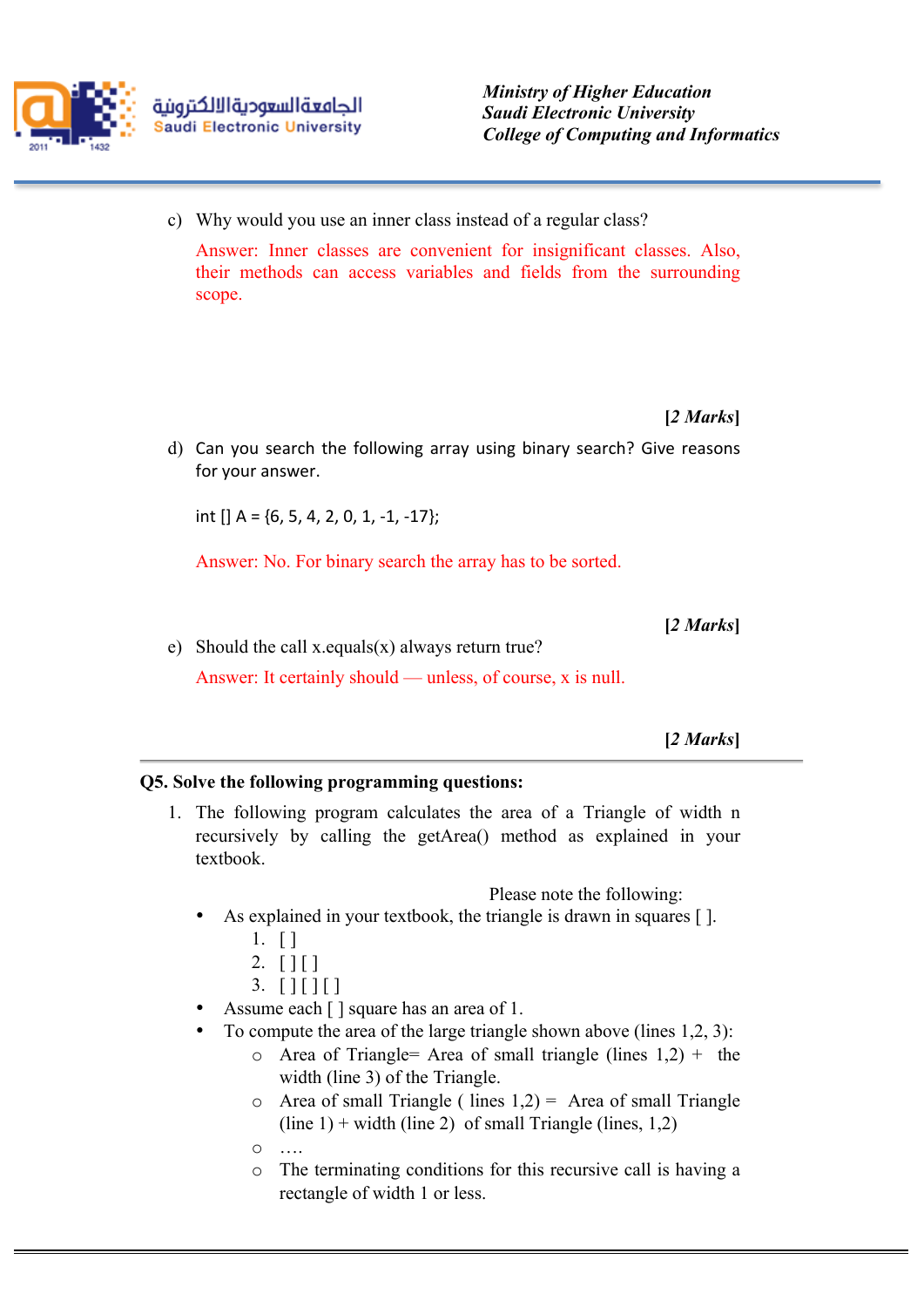

c) Why would you use an inner class instead of a regular class?

Answer: Inner classes are convenient for insignificant classes. Also, their methods can access variables and fields from the surrounding scope.

**[***2 Marks***]**

d) Can you search the following array using binary search? Give reasons for your answer.

int  $[$  A = {6, 5, 4, 2, 0, 1, -1, -17};

Answer: No. For binary search the array has to be sorted.

**[***2 Marks***]**

e) Should the call x.equals(x) always return true?

Answer: It certainly should — unless, of course, x is null.

**[***2 Marks***]**

## **Q5. Solve the following programming questions:**

1. The following program calculates the area of a Triangle of width n recursively by calling the getArea() method as explained in your textbook.

Please note the following:

As explained in your textbook, the triangle is drawn in squares [].

- $2. [ ] [ ]$
- $3.$  [ ] [ ] [ ]
- Assume each [ ] square has an area of 1.
- To compute the area of the large triangle shown above (lines 1,2, 3):
	- o Area of Triangle= Area of small triangle (lines  $1,2$ ) + the width (line 3) of the Triangle.
	- $\circ$  Area of small Triangle ( lines 1,2) = Area of small Triangle  $(line 1)$  + width (line 2) of small Triangle (lines, 1,2)
	- $\circ$
	- o The terminating conditions for this recursive call is having a rectangle of width 1 or less.

 $1. \top$ ]